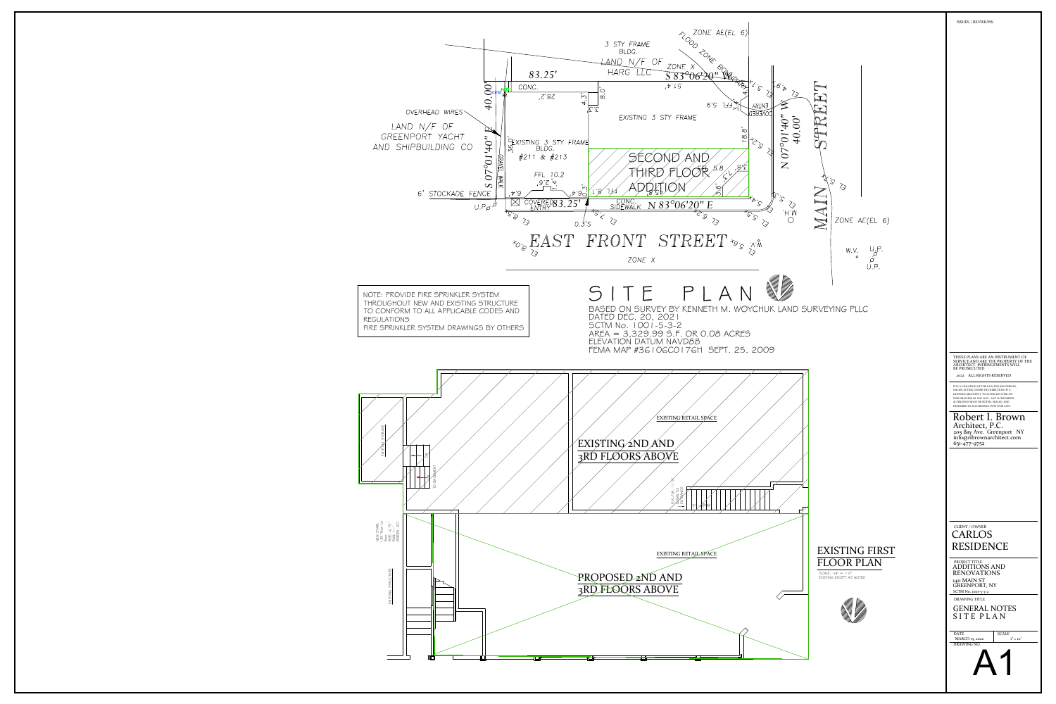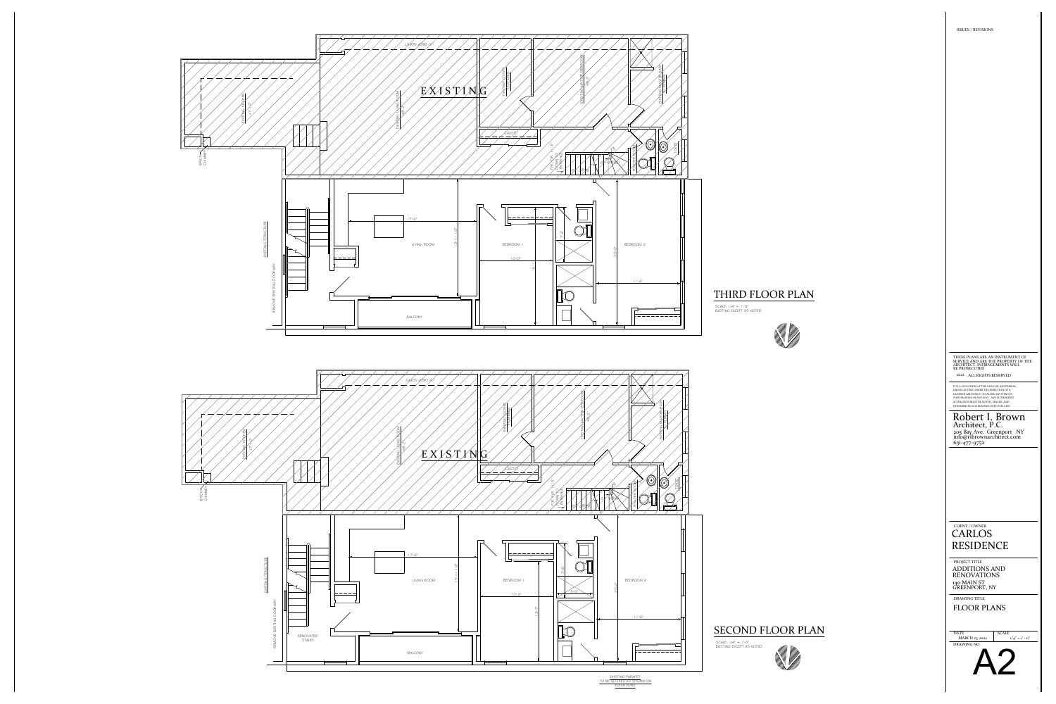THIRD FLOOR PLAN





SCALE: 1/4" = 1'-0" EXISTING EXCEPT AS NOTED  $\equiv$ 

SCALE  $1/4" = 1' - 0"$ 



SCALE: 1/4" = 1'-0"<br>EXISTING EXCEPT AS NOTED

## SECOND FLOOR PLAN



ISSUES / REVISIONS

2022 ALL RIGHTS RESERVED

DRAWING TITLE FLOOR PLANS

## CLIENT / OWNER RESIDENCE CARLOS

UNLESS ACTING UNDER THE DIRECTION OF A IT IS A VIOLATION OF THE LAW FOR ANY PERSON, LICENSED ARCHITECT, TO ALTER ANY ITEM ON ALTERATION MUST BE NOTED, SEALED, AND DESCRIBED IN ACCORDANCE WITH THE LAW. THIS DRAWING IN ANY WAY. ANY AUTHORIZED

PROJECT TITLE ADDITIONS AND 140 MAIN ST GREENPORT, NY RENOVATIONS

DRAWING NO. DATE MARCH 15, 2022

SERVICE AND ARE THE PROPERTY OF THE THESE PLANS ARE AN INSTRUMENT OF ARCHITECT. INFRINGEMENTS WILL BE PROSECUTED

205 Bay Ave. Greenport NY Architect, P.C. Robert I. Brown info@ribrownarchitect.com 631-477-9752